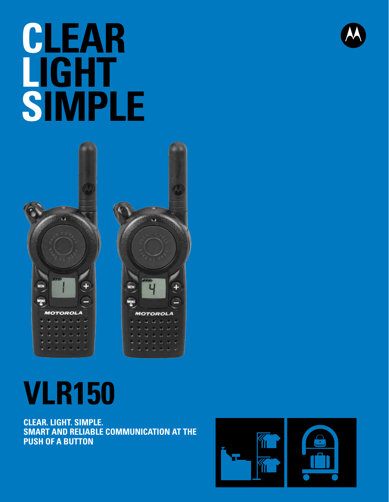# **CLEAR LIGHT SIMPLE**



# **VLR150**

**CLEAR. LIGHT. SIMPLE. SMART AND RELIABLE COMMUNICATION AT THE PUSH OF A BUTTON**



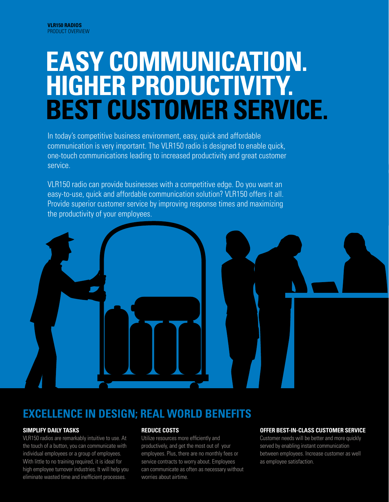## **EASY COMMUNICATION. HIGHER PRODUCTIVITY. BEST CUSTOMER SERVICE.**

In today's competitive business environment, easy, quick and affordable communication is very important. The VLR150 radio is designed to enable quick, one-touch communications leading to increased productivity and great customer service.

VLR150 radio can provide businesses with a competitive edge. Do you want an easy-to-use, quick and affordable communication solution? VLR150 offers it all. Provide superior customer service by improving response times and maximizing the productivity of your employees.



### **EXCELLENCE IN DESIGN; REAL WORLD BENEFITS**

#### **SIMPLIFY DAILY TASKS**

VLR150 radios are remarkably intuitive to use. At the touch of a button, you can communicate with individual employees or a group of employees. With little to no training required, it is ideal for high employee turnover industries. It will help you eliminate wasted time and inefficient processes.

#### **REDUCE COSTS**

Utilize resources more efficiently and productively, and get the most out of your employees. Plus, there are no monthly fees or service contracts to worry about. Employees can communicate as often as necessary without worries about airtime.

#### **OFFER BEST-IN-CLASS CUSTOMER SERVICE**

Customer needs will be better and more quickly served by enabling instant communication between employees. Increase customer as well as employee satisfaction.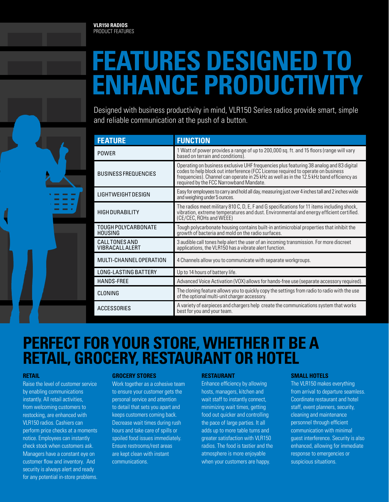## **FEATURES DESIGNED TO ENHANCE PRODUCTIVITY**

Designed with business productivity in mind, VLR150 Series radios provide smart, simple and reliable communication at the push of a button.

| <b>FEATURE</b>                          | <b>FUNCTION</b>                                                                                                                                                                                                                                                                                                      |
|-----------------------------------------|----------------------------------------------------------------------------------------------------------------------------------------------------------------------------------------------------------------------------------------------------------------------------------------------------------------------|
| <b>POWFR</b>                            | 1 Watt of power provides a range of up to 200,000 sq. ft. and 15 floors (range will vary<br>based on terrain and conditions).                                                                                                                                                                                        |
| <b>BUSINESS FREQUENCIES</b>             | Operating on business exclusive UHF frequencies plus featuring 38 analog and 83 digital<br>codes to help block out interference (FCC License required to operate on business<br>frequencies). Channel can operate in 25 kHz as well as in the 12.5 kHz band efficiency as<br>required by the FCC Narrowband Mandate. |
| LIGHTWEIGHT DESIGN                      | Easy for employees to carry and hold all day, measuring just over 4 inches tall and 2 inches wide<br>and weighing under 5 ounces.                                                                                                                                                                                    |
| <b>HIGH DURABILITY</b>                  | The radios meet military 810 C, D, E, F and G specifications for 11 items including shock,<br>vibration, extreme temperatures and dust. Environmental and energy efficient certified.<br>(CE/CEC, ROHs and WEEE)                                                                                                     |
| TOUGH POLYCARBONATE<br><b>HOUSING</b>   | Tough polycarbonate housing contains built-in antimicrobial properties that inhibit the<br>growth of bacteria and mold on the radio surfaces.                                                                                                                                                                        |
| CALL TONES AND<br><b>VIBRACALLALERT</b> | 3 audible call tones help alert the user of an incoming transmission. For more discreet<br>applications, the VLR150 has a vibrate alert function.                                                                                                                                                                    |
| MULTI-CHANNEL OPERATION                 | 4 Channels allow you to communicate with separate workgroups.                                                                                                                                                                                                                                                        |
| <b>LONG-LASTING BATTERY</b>             | Up to 14 hours of battery life.                                                                                                                                                                                                                                                                                      |
| <b>HANDS-FREE</b>                       | Advanced Voice Activation (VOX) allows for hands-free use (separate accessory required).                                                                                                                                                                                                                             |
| CLONING                                 | The cloning feature allows you to quickly copy the settings from radio to radio with the use<br>of the optional multi-unit charger accessory.                                                                                                                                                                        |
| ACCESSORIES                             | A variety of earpieces and chargers help create the communications system that works<br>best for you and your team.                                                                                                                                                                                                  |

### **PERFECT FOR YOUR STORE, WHETHER IT BE A RETAIL, GROCERY, RESTAURANT OR HOTEL**

#### **RETAIL**

Raise the level of customer service by enabling communications instantly. All retail activities, from welcoming customers to restocking, are enhanced with VLR150 radios. Cashiers can perform price checks at a moments notice. Employees can instantly check stock when customers ask. Managers have a constant eye on customer flow and inventory. And security is always alert and ready for any potential in-store problems.

#### **GROCERY STORES**

Work together as a cohesive team to ensure your customer gets the personal service and attention to detail that sets you apart and keeps customers coming back. Decrease wait times during rush hours and take care of spills or spoiled food issues immediately. Ensure restrooms/rest areas are kept clean with instant communications.

#### **RESTAURANT**

Enhance efficiency by allowing hosts, managers, kitchen and wait staff to instantly connect, minimizing wait times, getting food out quicker and controlling the pace of large parties. It all adds up to more table turns and greater satisfaction with VLR150 radios. The food is tastier and the atmosphere is more enjoyable when your customers are happy.

#### **SMALL HOTELS**

The VLR150 makes everything from arrival to departure seamless. Coordinate restaurant and hotel staff, event planners, security, cleaning and maintenance personnel through efficient communication with minimal guest interference. Security is also enhanced, allowing for immediate response to emergencies or suspicious situations.